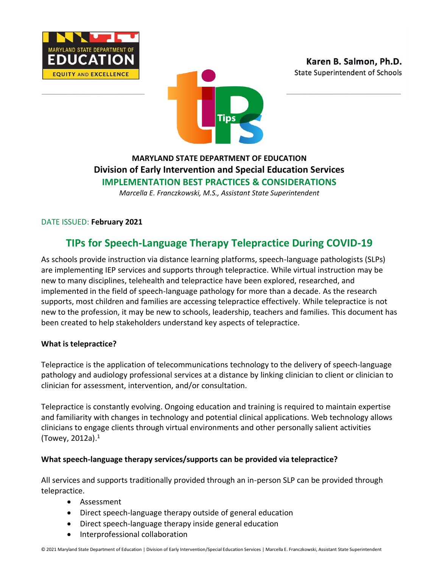





## **MARYLAND STATE DEPARTMENT OF EDUCATION Division of Early Intervention and Special Education Services IMPLEMENTATION BEST PRACTICES & CONSIDERATIONS**

*Marcella E. Franczkowski, M.S., Assistant State Superintendent*

DATE ISSUED: **February 2021**

# **TIPs for Speech-Language Therapy Telepractice During COVID-19**

As schools provide instruction via distance learning platforms, speech-language pathologists (SLPs) are implementing IEP services and supports through telepractice. While virtual instruction may be new to many disciplines, telehealth and telepractice have been explored, researched, and implemented in the field of speech-language pathology for more than a decade. As the research supports, most children and families are accessing telepractice effectively. While telepractice is not new to the profession, it may be new to schools, leadership, teachers and families. This document has been created to help stakeholders understand key aspects of telepractice.

#### **What is telepractice?**

Telepractice is the application of telecommunications technology to the delivery of speech-language pathology and audiology professional services at a distance by linking clinician to client or clinician to clinician for assessment, intervention, and/or consultation.

Telepractice is constantly evolving. Ongoing education and training is required to maintain expertise and familiarity with changes in technology and potential clinical applications. Web technology allows clinicians to engage clients through virtual environments and other personally salient activities (Towey, 2012a).<sup>1</sup>

#### **What speech-language therapy services/supports can be provided via telepractice?**

All services and supports traditionally provided through an in-person SLP can be provided through telepractice.

- Assessment
- Direct speech-language therapy outside of general education
- Direct speech-language therapy inside general education
- Interprofessional collaboration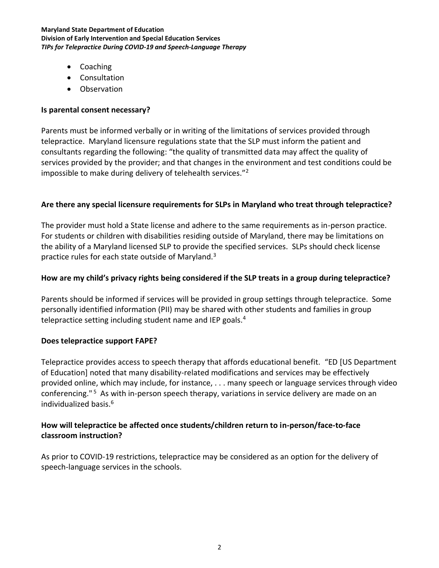#### **Maryland State Department of Education Division of Early Intervention and Special Education Services** *TIPs for Telepractice During COVID-19 and Speech-Language Therapy*

- Coaching
- Consultation
- Observation

#### **Is parental consent necessary?**

Parents must be informed verbally or in writing of the limitations of services provided through telepractice. Maryland licensure regulations state that the SLP must inform the patient and consultants regarding the following: "the quality of transmitted data may affect the quality of services provided by the provider; and that changes in the environment and test conditions could be impossible to make during delivery of telehealth services."<sup>2</sup>

#### **Are there any special licensure requirements for SLPs in Maryland who treat through telepractice?**

The provider must hold a State license and adhere to the same requirements as in-person practice. For students or children with disabilities residing outside of Maryland, there may be limitations on the ability of a Maryland licensed SLP to provide the specified services. SLPs should check license practice rules for each state outside of Maryland.<sup>3</sup>

#### **How are my child's privacy rights being considered if the SLP treats in a group during telepractice?**

Parents should be informed if services will be provided in group settings through telepractice. Some personally identified information (PII) may be shared with other students and families in group telepractice setting including student name and IEP goals.<sup>4</sup>

#### **Does telepractice support FAPE?**

Telepractice provides access to speech therapy that affords educational benefit. "ED [US Department of Education] noted that many disability-related modifications and services may be effectively provided online, which may include, for instance, . . . many speech or language services through video conferencing."<sup>5</sup> As with in-person speech therapy, variations in service delivery are made on an individualized basis.<sup>6</sup>

### **How will telepractice be affected once students/children return to in-person/face-to-face classroom instruction?**

As prior to COVID-19 restrictions, telepractice may be considered as an option for the delivery of speech-language services in the schools.